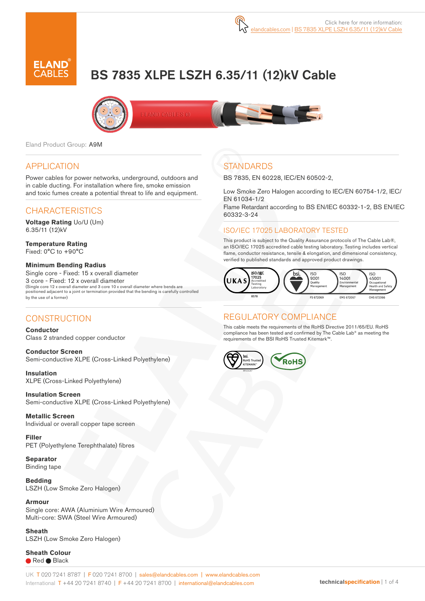# BS 7835 XLPE LSZH 6.35/11 (12)kV Cable





Eland Product Group: A9M

#### APPLICATION

Power cables for power networks, underground, outdoors and in cable ducting. For installation where fire, smoke emission and toxic fumes create a potential threat to life and equipment.

## CHARACTERISTICS

**Voltage Rating** Uo/U (Um) 6.35/11 (12)kV

**Temperature Rating** Fixed: 0°C to +90°C

#### **Minimum Bending Radius**  Single core - Fixed: 15 x overall diameter 3 core - Fixed: 12 x overall diameter (Single core 12 x overall diameter and 3 core 10 x overall diameter where bends are positioned adjacent to a joint or termination provided that the bending is carefully controlled

#### **CONSTRUCTION**

by the use of a former)

**Conductor** Class 2 stranded copper conductor

**Conductor Screen** Semi-conductive XLPE (Cross-Linked Polyethylene)

**Insulation** XLPE (Cross-Linked Polyethylene)

**Insulation Screen** Semi-conductive XLPE (Cross-Linked Polyethylene)

**Metallic Screen** Individual or overall copper tape screen

**Filler** PET (Polyethylene Terephthalate) fibres

**Separator** Binding tape

**Bedding** LSZH (Low Smoke Zero Halogen)

**Armour** Single core: AWA (Aluminium Wire Armoured) Multi-core: SWA (Steel Wire Armoured)

**Sheath** LSZH (Low Smoke Zero Halogen)

**Sheath Colour** ● Red ● Black

# **STANDARDS**

BS 7835, EN 60228, IEC/EN 60502-2,

Low Smoke Zero Halogen according to IEC/EN 60754-1/2, IEC/ EN 61034-1/2

Flame Retardant according to BS EN/IEC 60332-1-2, BS EN/IEC 60332-3-24

#### ISO/IEC 17025 LABORATORY TESTED

This product is subject to the Quality Assurance protocols of The Cable Lab®, an ISO/IEC 17025 accredited cable testing laboratory. Testing includes vertical flame, conductor resistance, tensile & elongation, and dimensional consistency, verified to published standards and approved product drawings.



### REGULATORY COMPLIANCE

This cable meets the requirements of the RoHS Directive 2011/65/EU. RoHS compliance has been tested and confirmed by The Cable Lab® as meeting the requirements of the BSI RoHS Trusted Kitemark™.

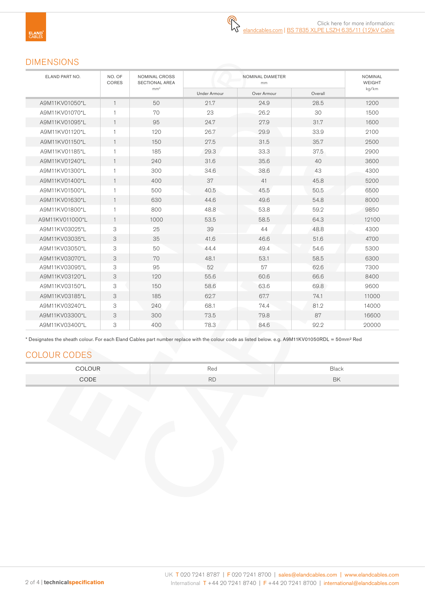#### DIMENSIONS

| ELAND PART NO.  | NO. OF<br><b>CORES</b> | NOMINAL CROSS<br>SECTIONAL AREA<br>mm <sup>2</sup> |              | <b>NOMINAL</b><br><b>WEIGHT</b> |         |       |
|-----------------|------------------------|----------------------------------------------------|--------------|---------------------------------|---------|-------|
|                 |                        |                                                    | Under Armour | Over Armour                     | Overall | kg/km |
| A9M11KV01050*L  | $\overline{1}$         | 50                                                 | 21.7         | 24.9                            | 28.5    | 1200  |
| A9M11KV01070*L  | $\mathbf{1}$           | 70                                                 | 23           | 26.2                            | 30      | 1500  |
| A9M11KV01095*L  | $\overline{1}$         | 95                                                 | 24.7         | 27.9                            | 31.7    | 1600  |
| A9M11KV01120*L  | $\overline{1}$         | 120                                                | 26.7         | 29.9                            | 33.9    | 2100  |
| A9M11KV01150*L  | $\overline{1}$         | 150                                                | 27.5         | 31.5                            | 35.7    | 2500  |
| A9M11KV01185*L  | $\overline{1}$         | 185                                                | 29.3         | 33.3                            | 37.5    | 2900  |
| A9M11KV01240*L  | $\overline{1}$         | 240                                                | 31.6         | 35.6                            | 40      | 3600  |
| A9M11KV01300*L  | $\mathbf{1}$           | 300                                                | 34.6         | 38.6                            | 43      | 4300  |
| A9M11KV01400*L  | $\mathbf{1}$           | 400                                                | 37           | 41                              | 45.8    | 5200  |
| A9M11KV01500*L  | $\overline{1}$         | 500                                                | 40.5         | 45.5                            | 50.5    | 6500  |
| A9M11KV01630*L  | $\mathbf{1}$           | 630                                                | 44.6         | 49.6                            | 54.8    | 8000  |
| A9M11KV01800*L  | $\overline{1}$         | 800                                                | 48.8         | 53.8                            | 59.2    | 9850  |
| A9M11KV011000*L | $\mathbf{1}$           | 1000                                               | 53.5         | 58.5                            | 64.3    | 12100 |
| A9M11KV03025*L  | 3                      | 25                                                 | 39           | 44                              | 48.8    | 4300  |
| A9M11KV03035*L  | 3                      | 35                                                 | 41.6         | 46.6                            | 51.6    | 4700  |
| A9M11KV03050*L  | 3                      | 50                                                 | 44.4         | 49.4                            | 54.6    | 5300  |
| A9M11KV03070*L  | 3                      | 70                                                 | 48.1         | 53.1                            | 58.5    | 6300  |
| A9M11KV03095*L  | 3                      | 95                                                 | 52           | 57                              | 62.6    | 7300  |
| A9M11KV03120*L  | 3                      | 120                                                | 55.6         | 60.6                            | 66.6    | 8400  |
| A9M11KV03150*L  | 3                      | 150                                                | 58.6         | 63.6                            | 69.8    | 9600  |
| A9M11KV03185*L  | 3                      | 185                                                | 62.7         | 67.7                            | 74.1    | 11000 |
| A9M11KV03240*L  | 3                      | 240                                                | 68.1         | 74.4                            | 81.2    | 14000 |
| A9M11KV03300*L  | 3                      | 300                                                | 73.5         | 79.8                            | 87      | 16600 |
| A9M11KV03400*L  | 3                      | 400                                                | 78.3         | 84.6                            | 92.2    | 20000 |

\* Designates the sheath colour. For each Eland Cables part number replace with the colour code as listed below. e.g. A9M11KV01050RDL = 50mm² Red

# COLOUR CODES

| _______ | ⊃∽<br>rea | Black     |
|---------|-----------|-----------|
| CODE    | DL<br>ΠU. | <b>BK</b> |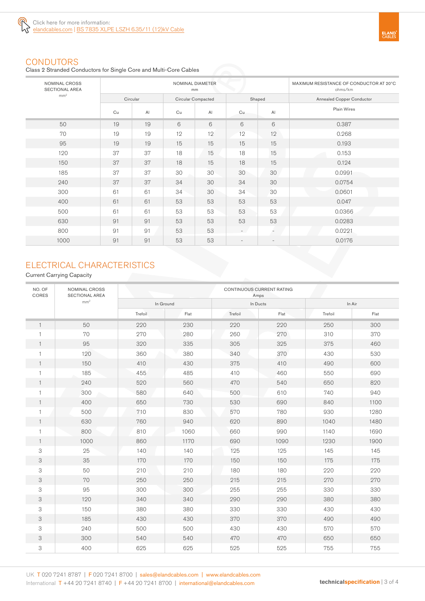

#### **CONDUTORS**

Class 2 Stranded Conductors for Single Core and Multi-Core Cables

| NOMINAL CROSS<br><b>SECTIONAL AREA</b> |          |                | NOMINAL DIAMETER<br>mm | MAXIMUM RESISTANCE OF CONDUCTOR AT 20°C<br>ohms/km |                          |                          |                                  |
|----------------------------------------|----------|----------------|------------------------|----------------------------------------------------|--------------------------|--------------------------|----------------------------------|
| mm <sup>2</sup>                        | Circular |                | Circular Compacted     |                                                    | Shaped                   |                          | <b>Annealed Copper Conductor</b> |
|                                        | Cu       | A <sub>l</sub> | Cu                     | AI                                                 | Cu                       | A <sub>l</sub>           | Plain Wires                      |
| 50                                     | 19       | 19             | 6                      | 6                                                  | 6                        | 6                        | 0.387                            |
| 70                                     | 19       | 19             | 12                     | 12                                                 | 12                       | 12                       | 0.268                            |
| 95                                     | 19       | 19             | 15                     | 15                                                 | 15                       | 15                       | 0.193                            |
| 120                                    | 37       | 37             | 18                     | 15                                                 | 18                       | 15                       | 0.153                            |
| 150                                    | 37       | 37             | 18                     | 15                                                 | 18                       | 15                       | 0.124                            |
| 185                                    | 37       | 37             | 30                     | 30                                                 | 30                       | 30                       | 0.0991                           |
| 240                                    | 37       | 37             | 34                     | 30                                                 | 34                       | 30                       | 0.0754                           |
| 300                                    | 61       | 61             | 34                     | 30                                                 | 34                       | 30                       | 0.0601                           |
| 400                                    | 61       | 61             | 53                     | 53                                                 | 53                       | 53                       | 0.047                            |
| 500                                    | 61       | 61             | 53                     | 53                                                 | 53                       | 53                       | 0.0366                           |
| 630                                    | 91       | 91             | 53                     | 53                                                 | 53                       | 53                       | 0.0283                           |
| 800                                    | 91       | 91             | 53                     | 53                                                 | $\sim$                   | ÷                        | 0.0221                           |
| 1000                                   | 91       | 91             | 53                     | 53                                                 | $\overline{\phantom{a}}$ | $\overline{\phantom{a}}$ | 0.0176                           |

### ELECTRICAL CHARACTERISTICS

#### Current Carrying Capacity

| NO. OF<br>CORES           | NOMINAL CROSS<br><b>SECTIONAL AREA</b> | CONTINUOUS CURRENT RATING<br>Amps |           |         |          |         |      |  |
|---------------------------|----------------------------------------|-----------------------------------|-----------|---------|----------|---------|------|--|
| mm <sup>2</sup>           |                                        |                                   | In Ground |         | In Ducts | In Air  |      |  |
|                           |                                        | Trefoil                           | Flat      | Trefoil | Flat     | Trefoil | Flat |  |
| $\mathbf{1}$              | 50                                     | 220                               | 230       | 220     | 220      | 250     | 300  |  |
|                           | 70                                     | 270                               | 280       | 260     | 270      | 310     | 370  |  |
|                           | 95                                     | 320                               | 335       | 305     | 325      | 375     | 460  |  |
|                           | 120                                    | 360                               | 380       | 340     | 370      | 430     | 530  |  |
| 1                         | 150                                    | 410                               | 430       | 375     | 410      | 490     | 600  |  |
| 1                         | 185                                    | 455                               | 485       | 410     | 460      | 550     | 690  |  |
| 1                         | 240                                    | 520                               | 560       | 470     | 540      | 650     | 820  |  |
|                           | 300                                    | 580                               | 640       | 500     | 610      | 740     | 940  |  |
|                           | 400                                    | 650                               | 730       | 530     | 690      | 840     | 1100 |  |
|                           | 500                                    | 710                               | 830       | 570     | 780      | 930     | 1280 |  |
| 1                         | 630                                    | 760                               | 940       | 620     | 890      | 1040    | 1480 |  |
| 1                         | 800                                    | 810                               | 1060      | 660     | 990      | 1140    | 1690 |  |
| 1                         | 1000                                   | 860                               | 1170      | 690     | 1090     | 1230    | 1900 |  |
| 3                         | 25                                     | 140                               | 140       | 125     | 125      | 145     | 145  |  |
| 3                         | 35                                     | 170                               | 170       | 150     | 150      | 175     | 175  |  |
| 3                         | 50                                     | 210                               | 210       | 180     | 180      | 220     | 220  |  |
| $\ensuremath{\mathsf{3}}$ | 70                                     | 250                               | 250       | 215     | 215      | 270     | 270  |  |
| 3                         | 95                                     | 300                               | 300       | 255     | 255      | 330     | 330  |  |
| 3                         | 120                                    | 340                               | 340       | 290     | 290      | 380     | 380  |  |
| 3                         | 150                                    | 380                               | 380       | 330     | 330      | 430     | 430  |  |
| $\ensuremath{\mathsf{3}}$ | 185                                    | 430                               | 430       | 370     | 370      | 490     | 490  |  |
| 3                         | 240                                    | 500                               | 500       | 430     | 430      | 570     | 570  |  |
| $\ensuremath{\mathsf{3}}$ | 300                                    | 540                               | 540       | 470     | 470      | 650     | 650  |  |
| 3                         | 400                                    | 625                               | 625       | 525     | 525      | 755     | 755  |  |